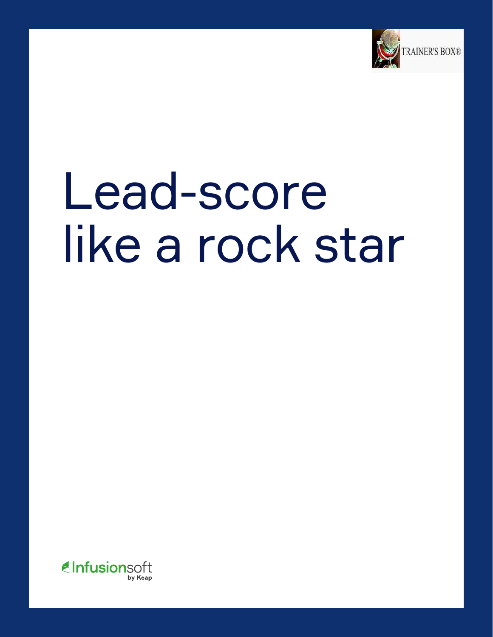

# Lead-score like a rock star

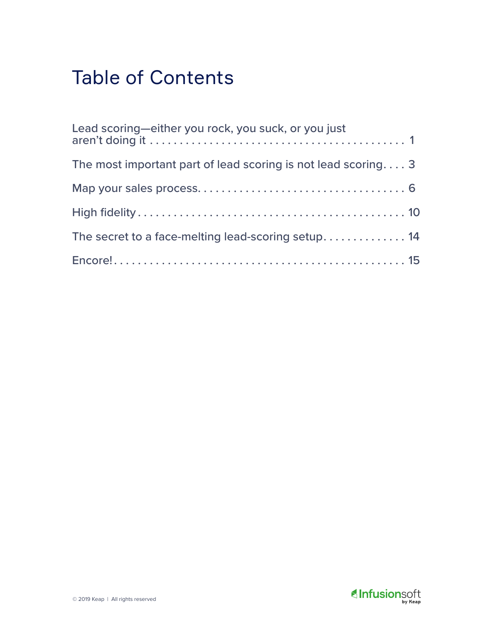# Table of Contents

| Lead scoring—either you rock, you suck, or you just           |
|---------------------------------------------------------------|
| The most important part of lead scoring is not lead scoring 3 |
|                                                               |
|                                                               |
| The secret to a face-melting lead-scoring setup 14            |
|                                                               |

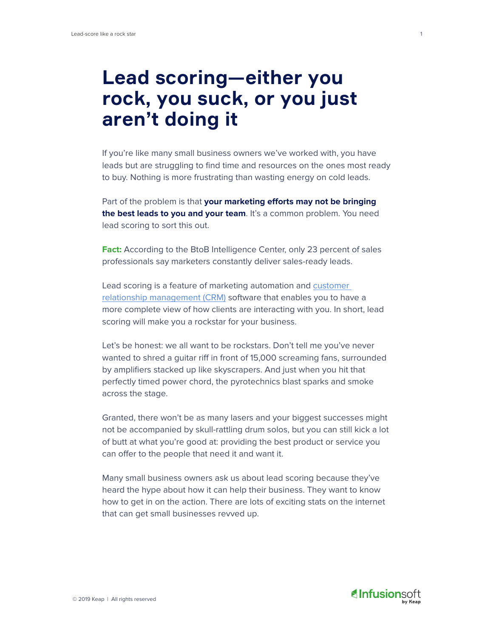# <span id="page-2-0"></span>**Lead scoring—either you rock, you suck, or you just aren't doing it**

If you're like many small business owners we've worked with, you have leads but are struggling to find time and resources on the ones most ready to buy. Nothing is more frustrating than wasting energy on cold leads.

Part of the problem is that **your marketing efforts may not be bringing**  the best leads to you and your team. It's a common problem. You need lead scoring to sort this out.

**Fact:** According to the BtoB Intelligence Center, only 23 percent of sales professionals say marketers constantly deliver sales-ready leads.

Lead scoring is a feature of marketing automation and [customer](https://www.infusionsoft.com/features/small-business-crm)  [relationship management \(CRM\)](https://www.infusionsoft.com/features/small-business-crm) software that enables you to have a more complete view of how clients are interacting with you. In short, lead scoring will make you a rockstar for your business.

Let's be honest: we all want to be rockstars. Don't tell me you've never wanted to shred a guitar riff in front of 15,000 screaming fans, surrounded by amplifiers stacked up like skyscrapers. And just when you hit that perfectly timed power chord, the pyrotechnics blast sparks and smoke across the stage.

Granted, there won't be as many lasers and your biggest successes might not be accompanied by skull-rattling drum solos, but you can still kick a lot of butt at what you're good at: providing the best product or service you can offer to the people that need it and want it.

Many small business owners ask us about lead scoring because they've heard the hype about how it can help their business. They want to know how to get in on the action. There are lots of exciting stats on the internet that can get small businesses revved up.

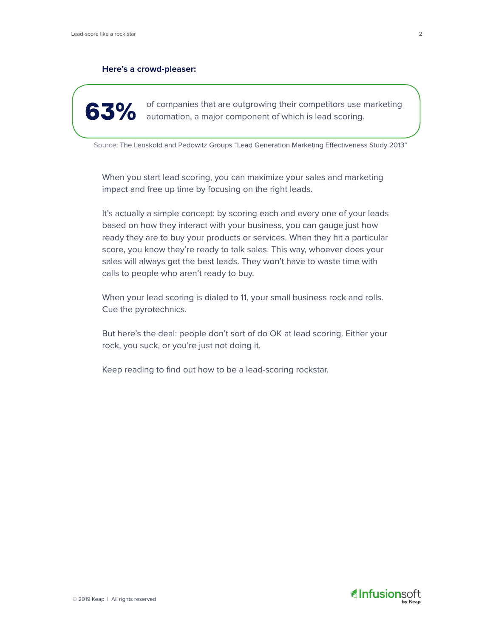#### **Here's a crowd-pleaser:**



Source: The Lenskold and Pedowitz Groups "Lead Generation Marketing Effectiveness Study 2013"

When you start lead scoring, you can maximize your sales and marketing impact and free up time by focusing on the right leads.

It's actually a simple concept: by scoring each and every one of your leads based on how they interact with your business, you can gauge just how ready they are to buy your products or services. When they hit a particular score, you know they're ready to talk sales. This way, whoever does your sales will always get the best leads. They won't have to waste time with calls to people who aren't ready to buy.

When your lead scoring is dialed to 11, your small business rock and rolls. Cue the pyrotechnics.

But here's the deal: people don't sort of do OK at lead scoring. Either your rock, you suck, or you're just not doing it.

Keep reading to find out how to be a lead-scoring rockstar.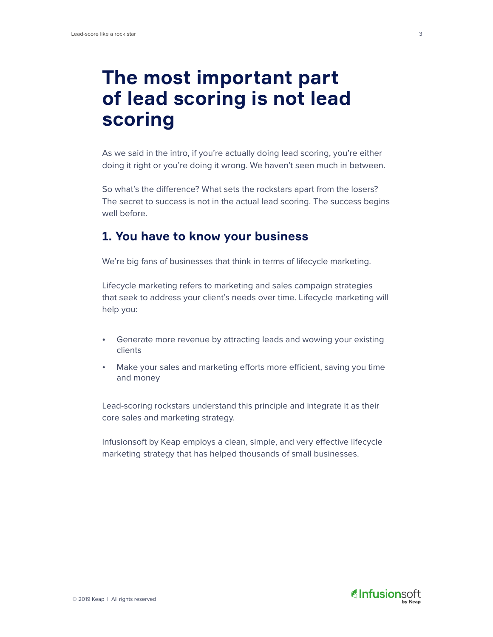# <span id="page-4-0"></span>**The most important part of lead scoring is not lead scoring**

As we said in the intro, if you're actually doing lead scoring, you're either doing it right or you're doing it wrong. We haven't seen much in between.

So what's the difference? What sets the rockstars apart from the losers? The secret to success is not in the actual lead scoring. The success begins well before.

# **1. You have to know your business**

We're big fans of businesses that think in terms of lifecycle marketing.

Lifecycle marketing refers to marketing and sales campaign strategies that seek to address your client's needs over time. Lifecycle marketing will help you:

- Generate more revenue by attracting leads and wowing your existing clients
- Make your sales and marketing efforts more efficient, saving you time and money

Lead-scoring rockstars understand this principle and integrate it as their core sales and marketing strategy.

Infusionsoft by Keap employs a clean, simple, and very effective lifecycle marketing strategy that has helped thousands of small businesses.

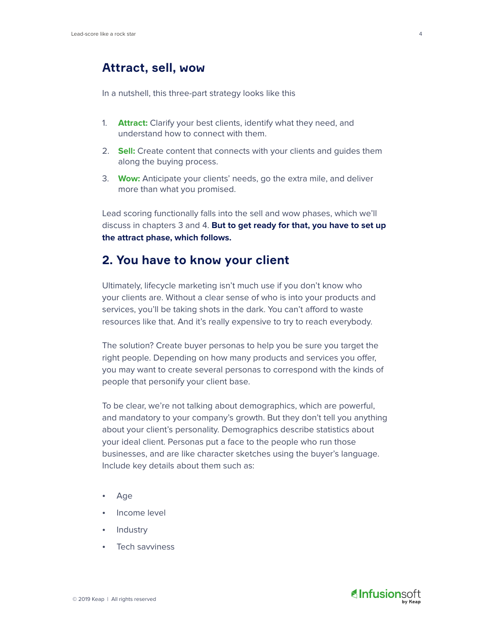## **Attract, sell, wow**

In a nutshell, this three-part strategy looks like this

- 1. **Attract:** Clarify your best clients, identify what they need, and understand how to connect with them.
- 2. **Sell:** Create content that connects with your clients and guides them along the buying process.
- 3. **Wow:** Anticipate your clients' needs, go the extra mile, and deliver more than what you promised.

Lead scoring functionally falls into the sell and wow phases, which we'll discuss in chapters 3 and 4. **But to get ready for that, you have to set up the attract phase, which follows.**

### **2. You have to know your client**

Ultimately, lifecycle marketing isn't much use if you don't know who your clients are. Without a clear sense of who is into your products and services, you'll be taking shots in the dark. You can't afford to waste resources like that. And it's really expensive to try to reach everybody.

The solution? Create buyer personas to help you be sure you target the right people. Depending on how many products and services you offer, you may want to create several personas to correspond with the kinds of people that personify your client base.

To be clear, we're not talking about demographics, which are powerful, and mandatory to your company's growth. But they don't tell you anything about your client's personality. Demographics describe statistics about your ideal client. Personas put a face to the people who run those businesses, and are like character sketches using the buyer's language. Include key details about them such as:

- Age
- Income level
- **Industry**
- Tech savviness

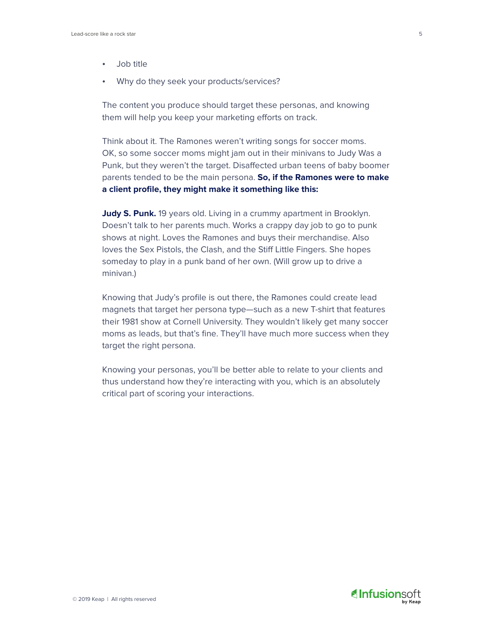- Job title
- Why do they seek your products/services?

The content you produce should target these personas, and knowing them will help you keep your marketing efforts on track.

Think about it. The Ramones weren't writing songs for soccer moms. OK, so some soccer moms might jam out in their minivans to Judy Was a Punk, but they weren't the target. Disaffected urban teens of baby boomer parents tended to be the main persona. **So, if the Ramones were to make a client profile, they might make it something like this:**

**Judy S. Punk.** 19 years old. Living in a crummy apartment in Brooklyn. Doesn't talk to her parents much. Works a crappy day job to go to punk shows at night. Loves the Ramones and buys their merchandise. Also loves the Sex Pistols, the Clash, and the Stiff Little Fingers. She hopes someday to play in a punk band of her own. (Will grow up to drive a minivan.)

Knowing that Judy's profile is out there, the Ramones could create lead magnets that target her persona type—such as a new T-shirt that features their 1981 show at Cornell University. They wouldn't likely get many soccer moms as leads, but that's fine. They'll have much more success when they target the right persona.

Knowing your personas, you'll be better able to relate to your clients and thus understand how they're interacting with you, which is an absolutely critical part of scoring your interactions.

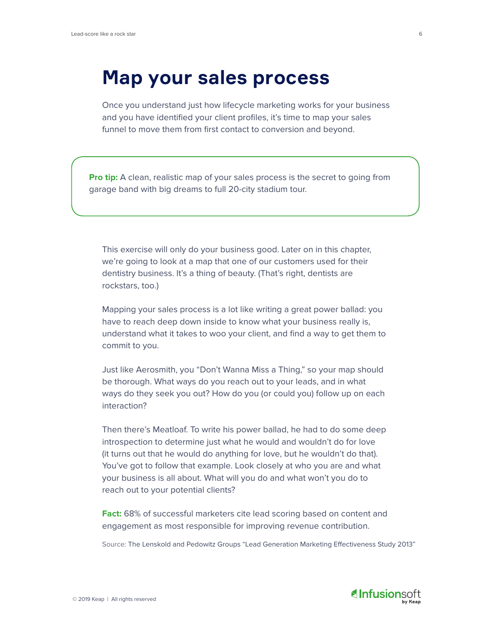# <span id="page-7-0"></span>**Map your sales process**

Once you understand just how lifecycle marketing works for your business and you have identified your client profiles, it's time to map your sales funnel to move them from first contact to conversion and beyond.

**Pro tip:** A clean, realistic map of your sales process is the secret to going from garage band with big dreams to full 20-city stadium tour.

This exercise will only do your business good. Later on in this chapter, we're going to look at a map that one of our customers used for their dentistry business. It's a thing of beauty. (That's right, dentists are rockstars, too.)

Mapping your sales process is a lot like writing a great power ballad: you have to reach deep down inside to know what your business really is, understand what it takes to woo your client, and find a way to get them to commit to you.

Just like Aerosmith, you "Don't Wanna Miss a Thing," so your map should be thorough. What ways do you reach out to your leads, and in what ways do they seek you out? How do you (or could you) follow up on each interaction?

Then there's Meatloaf. To write his power ballad, he had to do some deep introspection to determine just what he would and wouldn't do for love (it turns out that he would do anything for love, but he wouldn't do that). You've got to follow that example. Look closely at who you are and what your business is all about. What will you do and what won't you do to reach out to your potential clients?

**Fact:** 68% of successful marketers cite lead scoring based on content and engagement as most responsible for improving revenue contribution.

Source: The Lenskold and Pedowitz Groups "Lead Generation Marketing Effectiveness Study 2013"

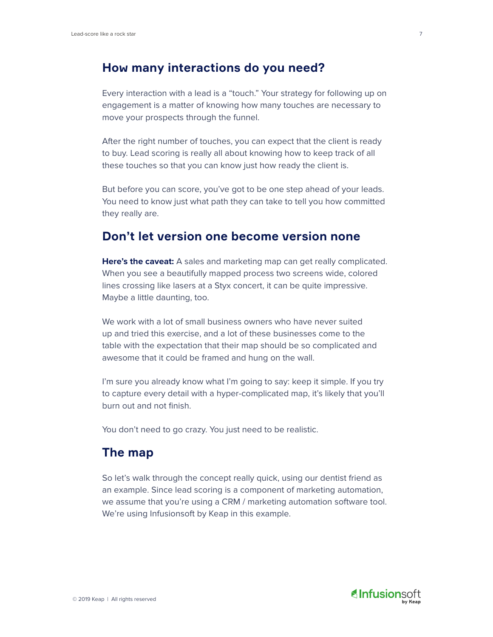### **How many interactions do you need?**

Every interaction with a lead is a "touch." Your strategy for following up on engagement is a matter of knowing how many touches are necessary to move your prospects through the funnel.

After the right number of touches, you can expect that the client is ready to buy. Lead scoring is really all about knowing how to keep track of all these touches so that you can know just how ready the client is.

But before you can score, you've got to be one step ahead of your leads. You need to know just what path they can take to tell you how committed they really are.

# **Don't let version one become version none**

**Here's the caveat:** A sales and marketing map can get really complicated. When you see a beautifully mapped process two screens wide, colored lines crossing like lasers at a Styx concert, it can be quite impressive. Maybe a little daunting, too.

We work with a lot of small business owners who have never suited up and tried this exercise, and a lot of these businesses come to the table with the expectation that their map should be so complicated and awesome that it could be framed and hung on the wall.

I'm sure you already know what I'm going to say: keep it simple. If you try to capture every detail with a hyper-complicated map, it's likely that you'll burn out and not finish.

You don't need to go crazy. You just need to be realistic.

### **The map**

So let's walk through the concept really quick, using our dentist friend as an example. Since lead scoring is a component of marketing automation, we assume that you're using a CRM / marketing automation software tool. We're using Infusionsoft by Keap in this example.

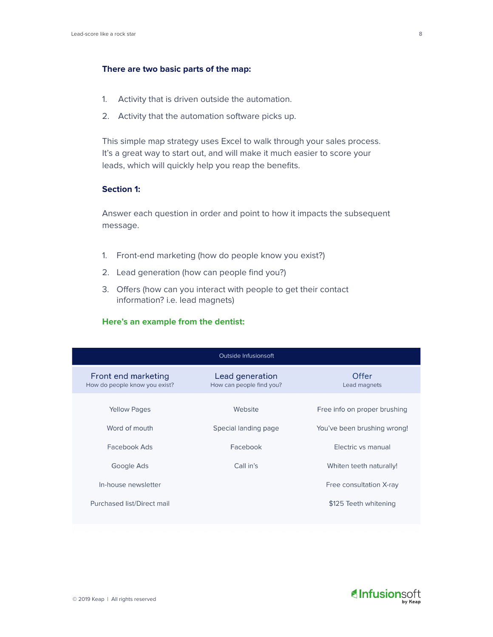#### **There are two basic parts of the map:**

- 1. Activity that is driven outside the automation.
- 2. Activity that the automation software picks up.

This simple map strategy uses Excel to walk through your sales process. It's a great way to start out, and will make it much easier to score your leads, which will quickly help you reap the benefits.

#### **Section 1:**

Answer each question in order and point to how it impacts the subsequent message.

- 1. Front-end marketing (how do people know you exist?)
- 2. Lead generation (how can people find you?)
- 3. Offers (how can you interact with people to get their contact information? i.e. lead magnets)

#### **Here's an example from the dentist:**

| Outside Infusions of t                               |                                             |                              |  |  |  |  |  |  |  |  |
|------------------------------------------------------|---------------------------------------------|------------------------------|--|--|--|--|--|--|--|--|
| Front end marketing<br>How do people know you exist? | Lead generation<br>How can people find you? | Offer<br>Lead magnets        |  |  |  |  |  |  |  |  |
| <b>Yellow Pages</b>                                  | Website                                     | Free info on proper brushing |  |  |  |  |  |  |  |  |
| Word of mouth                                        | Special landing page                        | You've been brushing wrong!  |  |  |  |  |  |  |  |  |
| Facebook Ads                                         | Facebook                                    | Electric vs manual           |  |  |  |  |  |  |  |  |
| Google Ads                                           | Call in's                                   | Whiten teeth naturally!      |  |  |  |  |  |  |  |  |
| In-house newsletter                                  |                                             | Free consultation X-ray      |  |  |  |  |  |  |  |  |
| Purchased list/Direct mail                           |                                             | \$125 Teeth whitening        |  |  |  |  |  |  |  |  |

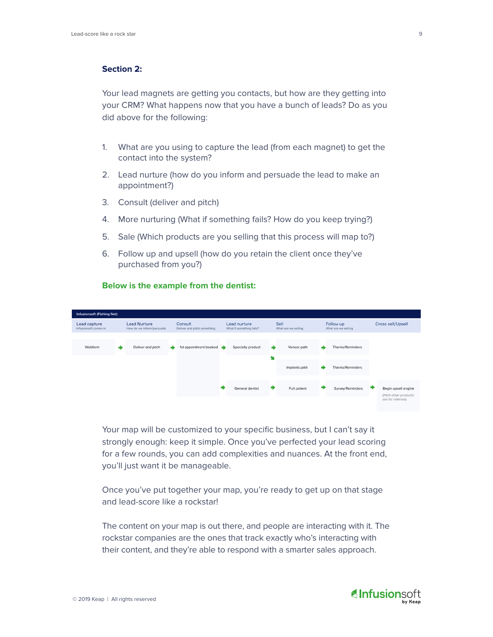#### **Section 2:**

Your lead magnets are getting you contacts, but how are they getting into your CRM? What happens now that you have a bunch of leads? Do as you did above for the following:

- 1. What are you using to capture the lead (from each magnet) to get the contact into the system?
- 2. Lead nurture (how do you inform and persuade the lead to make an appointment?)
- 3. Consult (deliver and pitch)
- 4. More nurturing (What if something fails? How do you keep trying?)
- 5. Sale (Which products are you selling that this process will map to?)
- 6. Follow up and upsell (how do you retain the client once they've purchased from you?)

#### **Below is the example from the dentist:**

| <b>Infusionsoft (Fishing Net)</b>     |                                                  |   |                                        |   |                                          |   |                              |    |                                      |   |                                                                     |
|---------------------------------------|--------------------------------------------------|---|----------------------------------------|---|------------------------------------------|---|------------------------------|----|--------------------------------------|---|---------------------------------------------------------------------|
| Lead capture<br>Infusionsoft comes in | <b>Lead Nurture</b><br>How do we inform/persuade |   | Consult<br>Deliver and pitch something |   | Lead nurture<br>What if something fails? |   | Sell<br>What are we selling  |    | Follow-up<br>What are we selling     |   | Cross sell/Upsell                                                   |
| Webform                               | Deliver and pitch                                | ∙ | 1st appointment booked                 |   | Specialty product                        | ۰ | Veneer path<br>Implants path |    | Thanks/Reminders<br>Thanks/Reminders |   |                                                                     |
|                                       |                                                  |   |                                        | ۰ | General dentist                          | ∙ | Full patient                 | -, | Survey/Reminders                     | æ | Begin upsell engine<br>(Pitch other products/<br>ask for referrals) |

Your map will be customized to your specific business, but I can't say it strongly enough: keep it simple. Once you've perfected your lead scoring for a few rounds, you can add complexities and nuances. At the front end, you'll just want it be manageable.

Once you've put together your map, you're ready to get up on that stage and lead-score like a rockstar!

The content on your map is out there, and people are interacting with it. The rockstar companies are the ones that track exactly who's interacting with their content, and they're able to respond with a smarter sales approach.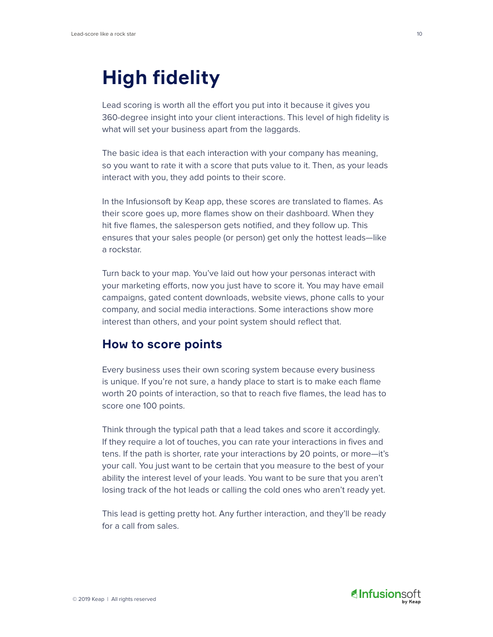# <span id="page-11-0"></span>**High fidelity**

Lead scoring is worth all the effort you put into it because it gives you 360-degree insight into your client interactions. This level of high fidelity is what will set your business apart from the laggards.

The basic idea is that each interaction with your company has meaning, so you want to rate it with a score that puts value to it. Then, as your leads interact with you, they add points to their score.

In the Infusionsoft by Keap app, these scores are translated to flames. As their score goes up, more flames show on their dashboard. When they hit five flames, the salesperson gets notified, and they follow up. This ensures that your sales people (or person) get only the hottest leads—like a rockstar.

Turn back to your map. You've laid out how your personas interact with your marketing efforts, now you just have to score it. You may have email campaigns, gated content downloads, website views, phone calls to your company, and social media interactions. Some interactions show more interest than others, and your point system should reflect that.

### **How to score points**

Every business uses their own scoring system because every business is unique. If you're not sure, a handy place to start is to make each flame worth 20 points of interaction, so that to reach five flames, the lead has to score one 100 points.

Think through the typical path that a lead takes and score it accordingly. If they require a lot of touches, you can rate your interactions in fives and tens. If the path is shorter, rate your interactions by 20 points, or more—it's your call. You just want to be certain that you measure to the best of your ability the interest level of your leads. You want to be sure that you aren't losing track of the hot leads or calling the cold ones who aren't ready yet.

This lead is getting pretty hot. Any further interaction, and they'll be ready for a call from sales.

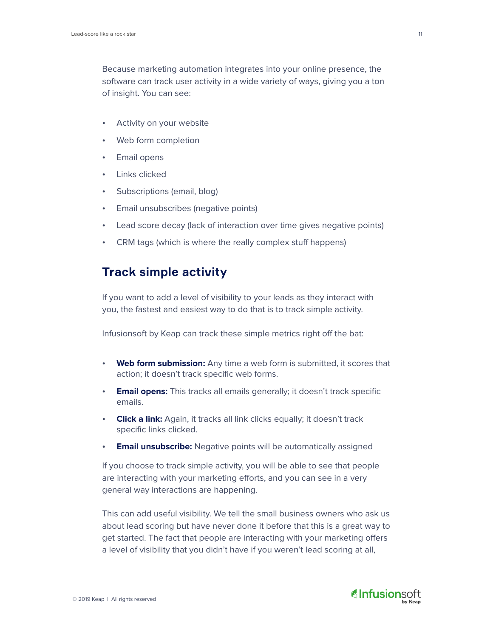Because marketing automation integrates into your online presence, the software can track user activity in a wide variety of ways, giving you a ton of insight. You can see:

- Activity on your website
- Web form completion
- Email opens
- Links clicked
- Subscriptions (email, blog)
- Email unsubscribes (negative points)
- Lead score decay (lack of interaction over time gives negative points)
- CRM tags (which is where the really complex stuff happens)

# **Track simple activity**

If you want to add a level of visibility to your leads as they interact with you, the fastest and easiest way to do that is to track simple activity.

Infusionsoft by Keap can track these simple metrics right off the bat:

- **Web form submission:** Any time a web form is submitted, it scores that action; it doesn't track specific web forms.
- **Email opens:** This tracks all emails generally; it doesn't track specific emails.
- **Click a link:** Again, it tracks all link clicks equally; it doesn't track specific links clicked.
- **Email unsubscribe:** Negative points will be automatically assigned

If you choose to track simple activity, you will be able to see that people are interacting with your marketing efforts, and you can see in a very general way interactions are happening.

This can add useful visibility. We tell the small business owners who ask us about lead scoring but have never done it before that this is a great way to get started. The fact that people are interacting with your marketing offers a level of visibility that you didn't have if you weren't lead scoring at all,

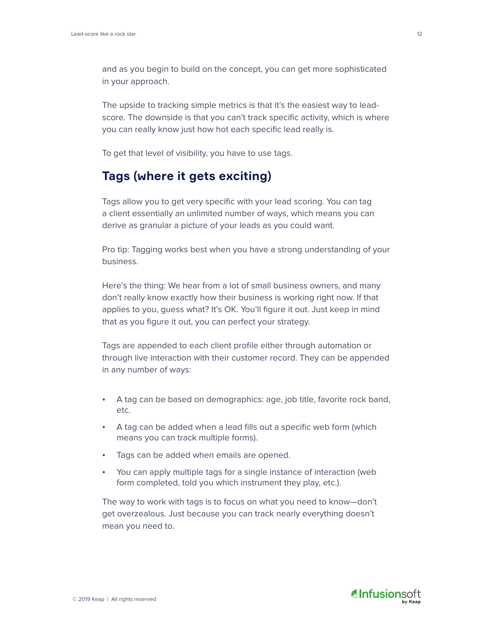and as you begin to build on the concept, you can get more sophisticated in your approach.

The upside to tracking simple metrics is that it's the easiest way to leadscore. The downside is that you can't track specific activity, which is where you can really know just how hot each specific lead really is.

To get that level of visibility, you have to use tags.

# **Tags (where it gets exciting)**

Tags allow you to get very specific with your lead scoring. You can tag a client essentially an unlimited number of ways, which means you can derive as granular a picture of your leads as you could want.

Pro tip: Tagging works best when you have a strong understanding of your business.

Here's the thing: We hear from a lot of small business owners, and many don't really know exactly how their business is working right now. If that applies to you, guess what? It's OK. You'll figure it out. Just keep in mind that as you figure it out, you can perfect your strategy.

Tags are appended to each client profile either through automation or through live interaction with their customer record. They can be appended in any number of ways:

- A tag can be based on demographics: age, job title, favorite rock band, etc.
- A tag can be added when a lead fills out a specific web form (which means you can track multiple forms).
- Tags can be added when emails are opened.
- You can apply multiple tags for a single instance of interaction (web form completed, told you which instrument they play, etc.).

The way to work with tags is to focus on what you need to know—don't get overzealous. Just because you can track nearly everything doesn't mean you need to.

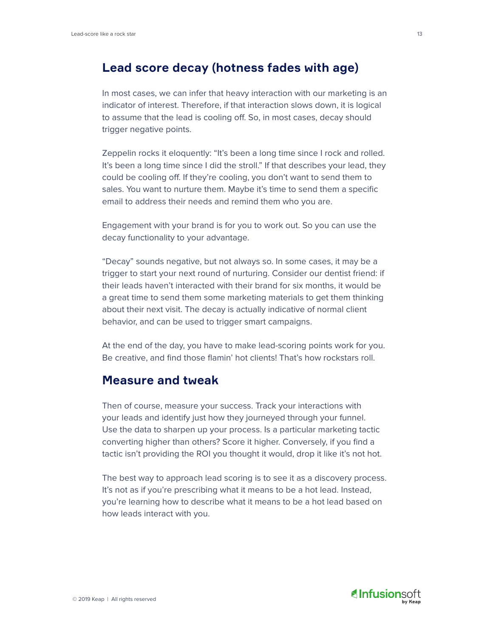# **Lead score decay (hotness fades with age)**

In most cases, we can infer that heavy interaction with our marketing is an indicator of interest. Therefore, if that interaction slows down, it is logical to assume that the lead is cooling off. So, in most cases, decay should trigger negative points.

Zeppelin rocks it eloquently: "It's been a long time since I rock and rolled. It's been a long time since I did the stroll." If that describes your lead, they could be cooling off. If they're cooling, you don't want to send them to sales. You want to nurture them. Maybe it's time to send them a specific email to address their needs and remind them who you are.

Engagement with your brand is for you to work out. So you can use the decay functionality to your advantage.

"Decay" sounds negative, but not always so. In some cases, it may be a trigger to start your next round of nurturing. Consider our dentist friend: if their leads haven't interacted with their brand for six months, it would be a great time to send them some marketing materials to get them thinking about their next visit. The decay is actually indicative of normal client behavior, and can be used to trigger smart campaigns.

At the end of the day, you have to make lead-scoring points work for you. Be creative, and find those flamin' hot clients! That's how rockstars roll.

### **Measure and tweak**

Then of course, measure your success. Track your interactions with your leads and identify just how they journeyed through your funnel. Use the data to sharpen up your process. Is a particular marketing tactic converting higher than others? Score it higher. Conversely, if you find a tactic isn't providing the ROI you thought it would, drop it like it's not hot.

The best way to approach lead scoring is to see it as a discovery process. It's not as if you're prescribing what it means to be a hot lead. Instead, you're learning how to describe what it means to be a hot lead based on how leads interact with you.

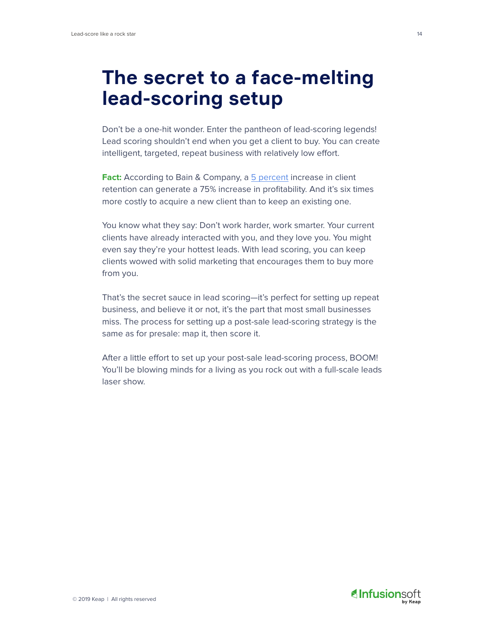# <span id="page-15-0"></span>**The secret to a face-melting lead-scoring setup**

Don't be a one-hit wonder. Enter the pantheon of lead-scoring legends! Lead scoring shouldn't end when you get a client to buy. You can create intelligent, targeted, repeat business with relatively low effort.

**Fact:** According to Bain & Company, a [5 percent](https://www.forbes.com/sites/alexlawrence/2012/11/01/five-customer-retention-tips-for-entrepreneurs/#2617f98d5e8d) increase in client retention can generate a 75% increase in profitability. And it's six times more costly to acquire a new client than to keep an existing one.

You know what they say: Don't work harder, work smarter. Your current clients have already interacted with you, and they love you. You might even say they're your hottest leads. With lead scoring, you can keep clients wowed with solid marketing that encourages them to buy more from you.

That's the secret sauce in lead scoring—it's perfect for setting up repeat business, and believe it or not, it's the part that most small businesses miss. The process for setting up a post-sale lead-scoring strategy is the same as for presale: map it, then score it.

After a little effort to set up your post-sale lead-scoring process, BOOM! You'll be blowing minds for a living as you rock out with a full-scale leads laser show.